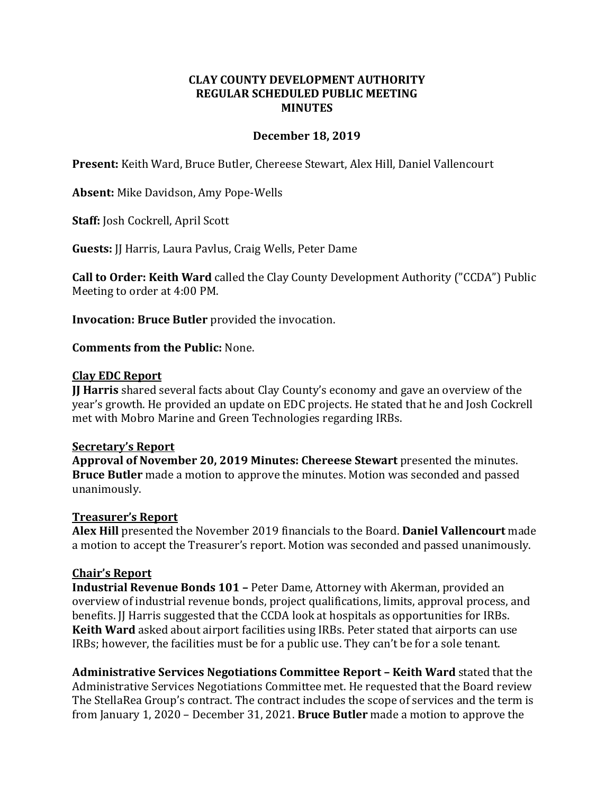## **CLAY COUNTY DEVELOPMENT AUTHORITY REGULAR SCHEDULED PUBLIC MEETING MINUTES**

## **December 18, 2019**

**Present:** Keith Ward, Bruce Butler, Chereese Stewart, Alex Hill, Daniel Vallencourt

**Absent:** Mike Davidson, Amy Pope-Wells

**Staff:** Josh Cockrell, April Scott

**Guests:** JJ Harris, Laura Pavlus, Craig Wells, Peter Dame

**Call to Order: Keith Ward** called the Clay County Development Authority ("CCDA") Public Meeting to order at 4:00 PM.

**Invocation: Bruce Butler** provided the invocation.

**Comments from the Public:** None.

#### **Clay EDC Report**

**JJ Harris** shared several facts about Clay County's economy and gave an overview of the year's growth. He provided an update on EDC projects. He stated that he and Josh Cockrell met with Mobro Marine and Green Technologies regarding IRBs.

#### **Secretary's Report**

**Approval of November 20, 2019 Minutes: Chereese Stewart** presented the minutes. **Bruce Butler** made a motion to approve the minutes. Motion was seconded and passed unanimously.

#### **Treasurer's Report**

**Alex Hill** presented the November 2019 financials to the Board. **Daniel Vallencourt** made a motion to accept the Treasurer's report. Motion was seconded and passed unanimously.

#### **Chair's Report**

**Industrial Revenue Bonds 101 –** Peter Dame, Attorney with Akerman, provided an overview of industrial revenue bonds, project qualifications, limits, approval process, and benefits. II Harris suggested that the CCDA look at hospitals as opportunities for IRBs. **Keith Ward** asked about airport facilities using IRBs. Peter stated that airports can use IRBs; however, the facilities must be for a public use. They can't be for a sole tenant.

**Administrative Services Negotiations Committee Report – Keith Ward** stated that the Administrative Services Negotiations Committee met. He requested that the Board review The StellaRea Group's contract. The contract includes the scope of services and the term is from January 1, 2020 – December 31, 2021. **Bruce Butler** made a motion to approve the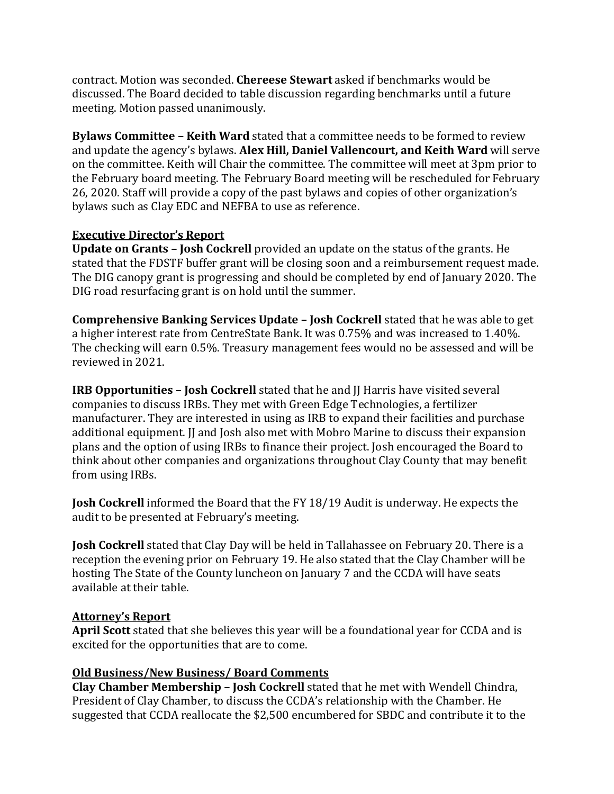contract. Motion was seconded. **Chereese Stewart** asked if benchmarks would be discussed. The Board decided to table discussion regarding benchmarks until a future meeting. Motion passed unanimously.

**Bylaws Committee – Keith Ward** stated that a committee needs to be formed to review and update the agency's bylaws. **Alex Hill, Daniel Vallencourt, and Keith Ward** will serve on the committee. Keith will Chair the committee. The committee will meet at 3pm prior to the February board meeting. The February Board meeting will be rescheduled for February 26, 2020. Staff will provide a copy of the past bylaws and copies of other organization's bylaws such as Clay EDC and NEFBA to use as reference.

## **Executive Director's Report**

**Update on Grants – Josh Cockrell** provided an update on the status of the grants. He stated that the FDSTF buffer grant will be closing soon and a reimbursement request made. The DIG canopy grant is progressing and should be completed by end of January 2020. The DIG road resurfacing grant is on hold until the summer.

**Comprehensive Banking Services Update – Josh Cockrell** stated that he was able to get a higher interest rate from CentreState Bank. It was 0.75% and was increased to 1.40%. The checking will earn 0.5%. Treasury management fees would no be assessed and will be reviewed in 2021.

**IRB Opportunities – Josh Cockrell** stated that he and JJ Harris have visited several companies to discuss IRBs. They met with Green Edge Technologies, a fertilizer manufacturer. They are interested in using as IRB to expand their facilities and purchase additional equipment. II and Josh also met with Mobro Marine to discuss their expansion plans and the option of using IRBs to finance their project. Josh encouraged the Board to think about other companies and organizations throughout Clay County that may benefit from using IRBs.

**Josh Cockrell** informed the Board that the FY 18/19 Audit is underway. He expects the audit to be presented at February's meeting.

**Josh Cockrell** stated that Clay Day will be held in Tallahassee on February 20. There is a reception the evening prior on February 19. He also stated that the Clay Chamber will be hosting The State of the County luncheon on January 7 and the CCDA will have seats available at their table.

# **Attorney's Report**

**April Scott** stated that she believes this year will be a foundational year for CCDA and is excited for the opportunities that are to come.

# **Old Business/New Business/ Board Comments**

**Clay Chamber Membership – Josh Cockrell** stated that he met with Wendell Chindra, President of Clay Chamber, to discuss the CCDA's relationship with the Chamber. He suggested that CCDA reallocate the \$2,500 encumbered for SBDC and contribute it to the